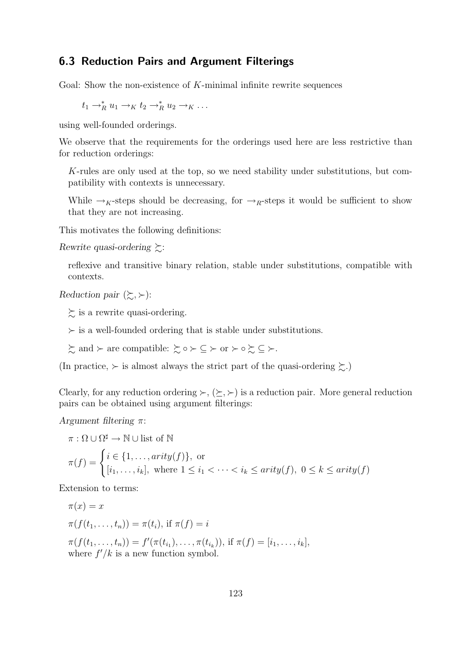## 6.3 Reduction Pairs and Argument Filterings

Goal: Show the non-existence of K-minimal infinite rewrite sequences

$$
t_1 \to_R^* u_1 \to_K t_2 \to_R^* u_2 \to_K \ldots
$$

using well-founded orderings.

We observe that the requirements for the orderings used here are less restrictive than for reduction orderings:

K-rules are only used at the top, so we need stability under substitutions, but compatibility with contexts is unnecessary.

While  $\rightarrow_K$ -steps should be decreasing, for  $\rightarrow_R$ -steps it would be sufficient to show that they are not increasing.

This motivates the following definitions:

*Rewrite quasi-ordering*  $\succsim$ :

reflexive and transitive binary relation, stable under substitutions, compatible with contexts.

*Reduction pair*  $(\succsim, \succ)$ :

 $\succsim$  is a rewrite quasi-ordering.

 $\succ$  is a well-founded ordering that is stable under substitutions.

 $\zeta$  and ≻ are compatible:  $\zeta \circ \succ \subseteq \succ$  or  $\succ \circ \succ \subseteq \succ$ .

(In practice,  $\succ$  is almost always the strict part of the quasi-ordering  $\succsim$ .)

Clearly, for any reduction ordering  $\succ, (\succeq, \succ)$  is a reduction pair. More general reduction pairs can be obtained using argument filterings:

*Argument filtering* π:

$$
\pi : \Omega \cup \Omega^{\sharp} \to \mathbb{N} \cup \text{list of } \mathbb{N}
$$

$$
\pi(f) = \begin{cases} i \in \{1, \dots, arity(f)\}, & \text{or} \\ [i_1, \dots, i_k], & \text{where } 1 \le i_1 < \dots < i_k \le arity(f), \ 0 \le k \le arity(f) \end{cases}
$$

Extension to terms:

$$
\pi(x) = x
$$
  
\n
$$
\pi(f(t_1, \ldots, t_n)) = \pi(t_i), \text{ if } \pi(f) = i
$$
  
\n
$$
\pi(f(t_1, \ldots, t_n)) = f'(\pi(t_{i_1}), \ldots, \pi(t_{i_k})), \text{ if } \pi(f) = [i_1, \ldots, i_k],
$$
  
\nwhere  $f'/k$  is a new function symbol.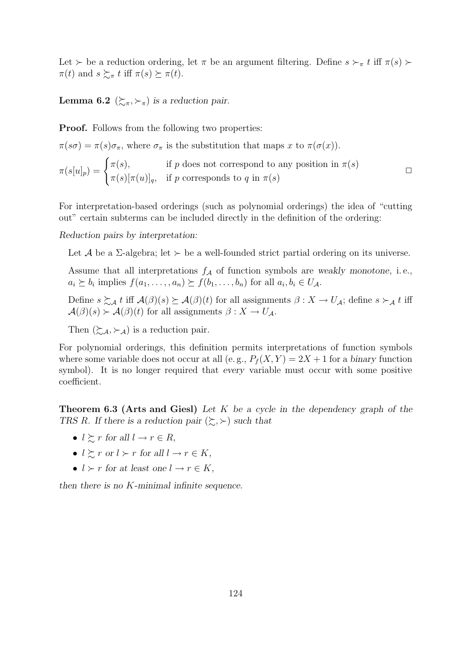Let  $\succ$  be a reduction ordering, let  $\pi$  be an argument filtering. Define  $s \succ_{\pi} t$  iff  $\pi(s) \succ$  $\pi(t)$  and  $s \succsim_{\pi} t$  iff  $\pi(s) \succeq \pi(t)$ .

**Lemma 6.2** ( $\succsim_{\pi}</math>, <math>\succ_{\pi}</math>)$ *is a reduction pair.* 

**Proof.** Follows from the following two properties:

 $\pi(s\sigma) = \pi(s)\sigma_{\pi}$ , where  $\sigma_{\pi}$  is the substitution that maps x to  $\pi(\sigma(x))$ .

$$
\pi(s[u]_p) = \begin{cases} \pi(s), & \text{if } p \text{ does not correspond to any position in } \pi(s) \\ \pi(s)[\pi(u)]_q, & \text{if } p \text{ corresponds to } q \text{ in } \pi(s) \end{cases} \square
$$

For interpretation-based orderings (such as polynomial orderings) the idea of "cutting out" certain subterms can be included directly in the definition of the ordering:

*Reduction pairs by interpretation:*

Let A be a  $\Sigma$ -algebra; let  $\succ$  be a well-founded strict partial ordering on its universe.

Assume that all interpretations  $f_A$  of function symbols are *weakly monotone*, i.e.,  $a_i \succeq b_i$  implies  $f(a_1, \ldots, a_n) \succeq f(b_1, \ldots, b_n)$  for all  $a_i, b_i \in U_A$ .

Define  $s \succsim_{\mathcal{A}} t$  iff  $\mathcal{A}(\beta)(s) \succeq \mathcal{A}(\beta)(t)$  for all assignments  $\beta : X \to U_{\mathcal{A}}$ ; define  $s \succ_{\mathcal{A}} t$  iff  $\mathcal{A}(\beta)(s) \succ \mathcal{A}(\beta)(t)$  for all assignments  $\beta : X \to U_{\mathcal{A}}$ .

Then  $(\succsim_{\mathcal{A}}, \succ_{\mathcal{A}})$  is a reduction pair.

For polynomial orderings, this definition permits interpretations of function symbols where some variable does not occur at all (e.g.,  $P_f(X, Y) = 2X + 1$  for a *binary* function symbol). It is no longer required that *every* variable must occur with some positive coefficient.

Theorem 6.3 (Arts and Giesl) *Let* K *be a cycle in the dependency graph of the TRS R. If there is a reduction pair*  $(\succsim, \succ)$  *such that* 

- $l \succeq r$  *for all*  $l \to r \in R$ ,
- $l \succeq r$  or  $l \succ r$  for all  $l \rightarrow r \in K$ ,
- $l > r$  for at least one  $l \to r \in K$ ,

*then there is no* K*-minimal infinite sequence.*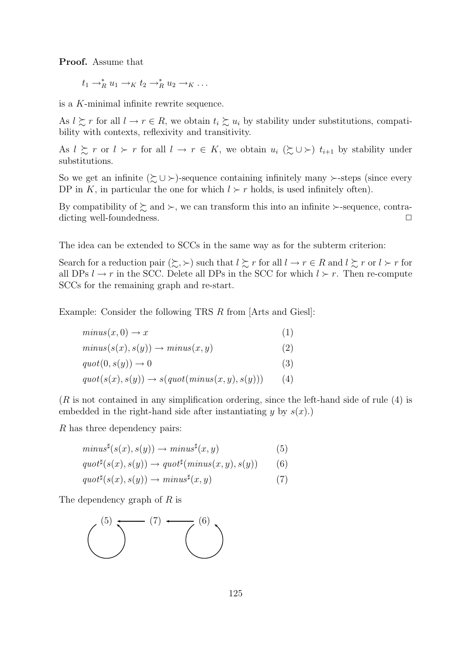Proof. Assume that

 $t_1 \rightarrow_R^* u_1 \rightarrow_K t_2 \rightarrow_R^* u_2 \rightarrow_K \ldots$ 

is a K-minimal infinite rewrite sequence.

As  $l \succsim r$  for all  $l \to r \in R$ , we obtain  $t_i \succsim u_i$  by stability under substitutions, compatibility with contexts, reflexivity and transitivity.

As  $l \geq r$  or  $l \succ r$  for all  $l \to r \in K$ , we obtain  $u_i \geq \cup \succ$   $t_{i+1}$  by stability under substitutions.

So we get an infinite  $(\succcurlyeq \cup \succ)$ -sequence containing infinitely many  $\succ$ -steps (since every DP in K, in particular the one for which  $l \succ r$  holds, is used infinitely often).

By compatibility of  $\succsim$  and ≻, we can transform this into an infinite ≻-sequence, contradicting well-foundedness.

The idea can be extended to SCCs in the same way as for the subterm criterion:

Search for a reduction pair  $(\succsim, \succ)$  such that  $l \succsim r$  for all  $l \to r \in R$  and  $l \succsim r$  or  $l \succ r$  for all DPs  $l \rightarrow r$  in the SCC. Delete all DPs in the SCC for which  $l \succ r$ . Then re-compute SCCs for the remaining graph and re-start.

Example: Consider the following TRS R from [Arts and Giesl]:

| $minus(x, 0) \rightarrow x$                                | (1) |
|------------------------------------------------------------|-----|
| $minus(s(x), s(y)) \rightarrow minus(x, y)$                | (2) |
| $quot(0, s(y)) \rightarrow 0$                              | (3) |
| $quot(s(x), s(y)) \rightarrow s(quot(\minus(x, y), s(y)))$ | (4) |

 $(R \text{ is not contained in any simplification ordering, since the left-hand side of rule (4) is}$ embedded in the right-hand side after instantiating y by  $s(x)$ .)

R has three dependency pairs:

$$
minus^{\sharp}(s(x), s(y)) \to minus^{\sharp}(x, y) \tag{5}
$$

$$
quot^{\sharp}(s(x), s(y)) \to quot^{\sharp}(\minus(x, y), s(y))
$$
 (6)

$$
quot^{\sharp}(s(x), s(y)) \to minus^{\sharp}(x, y) \tag{7}
$$

The dependency graph of  $R$  is